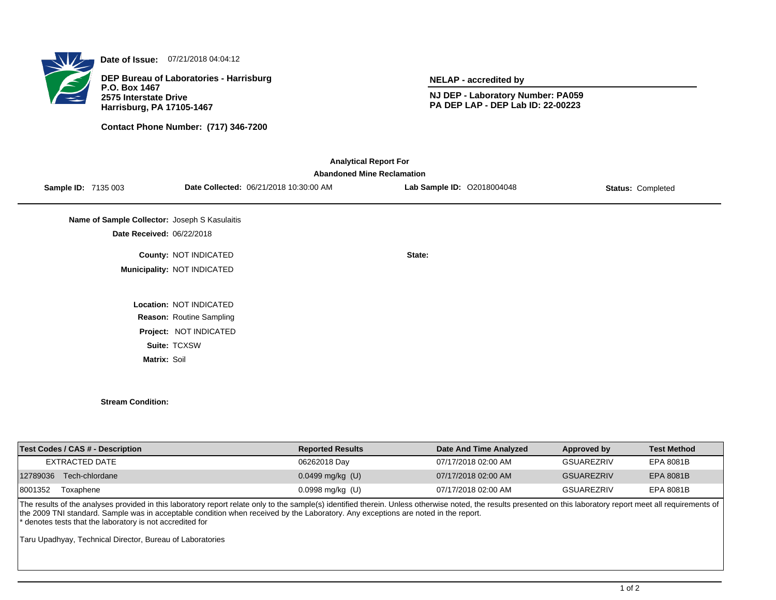

**Date of Issue:** 07/21/2018 04:04:12

**DEP Bureau of Laboratories - Harrisburg P.O. Box 1467 2575 Interstate Drive Harrisburg, PA 17105-1467**

**Contact Phone Number: (717) 346-7200**

**NELAP - accredited by**

**NJ DEP - Laboratory Number: PA059 PA DEP LAP - DEP Lab ID: 22-00223**

| <b>Abandoned Mine Reclamation</b>             |                                        |                            |                          |  |  |  |  |
|-----------------------------------------------|----------------------------------------|----------------------------|--------------------------|--|--|--|--|
| <b>Sample ID: 7135 003</b>                    | Date Collected: 06/21/2018 10:30:00 AM | Lab Sample ID: 02018004048 | <b>Status: Completed</b> |  |  |  |  |
| Name of Sample Collector: Joseph S Kasulaitis |                                        |                            |                          |  |  |  |  |
| Date Received: 06/22/2018                     |                                        |                            |                          |  |  |  |  |
|                                               | County: NOT INDICATED                  | State:                     |                          |  |  |  |  |
|                                               | Municipality: NOT INDICATED            |                            |                          |  |  |  |  |
|                                               | Location: NOT INDICATED                |                            |                          |  |  |  |  |
|                                               | Reason: Routine Sampling               |                            |                          |  |  |  |  |
|                                               | Project: NOT INDICATED                 |                            |                          |  |  |  |  |
|                                               | Suite: TCXSW                           |                            |                          |  |  |  |  |
| Matrix: Soil                                  |                                        |                            |                          |  |  |  |  |

| <b>Test Codes / CAS # - Description</b> | <b>Reported Results</b> | Date And Time Analyzed | Approved by       | <b>Test Method</b> |
|-----------------------------------------|-------------------------|------------------------|-------------------|--------------------|
| EXTRACTED DATE                          | 06262018 Day            | 07/17/2018 02:00 AM    | <b>GSUAREZRIV</b> | EPA 8081B          |
| 12789036<br>Tech-chlordane              | $0.0499$ mg/kg (U)      | 07/17/2018 02:00 AM    | <b>GSUAREZRIV</b> | EPA 8081B          |
| 8001352<br>Toxaphene                    | $0.0998$ mg/kg (U)      | 07/17/2018 02:00 AM    | <b>GSUAREZRIV</b> | EPA 8081B          |
|                                         |                         |                        |                   |                    |

The results of the analyses provided in this laboratory report relate only to the sample(s) identified therein. Unless otherwise noted, the results presented on this laboratory report meet all requirements of the 2009 TNI standard. Sample was in acceptable condition when received by the Laboratory. Any exceptions are noted in the report. \* denotes tests that the laboratory is not accredited for

Taru Upadhyay, Technical Director, Bureau of Laboratories